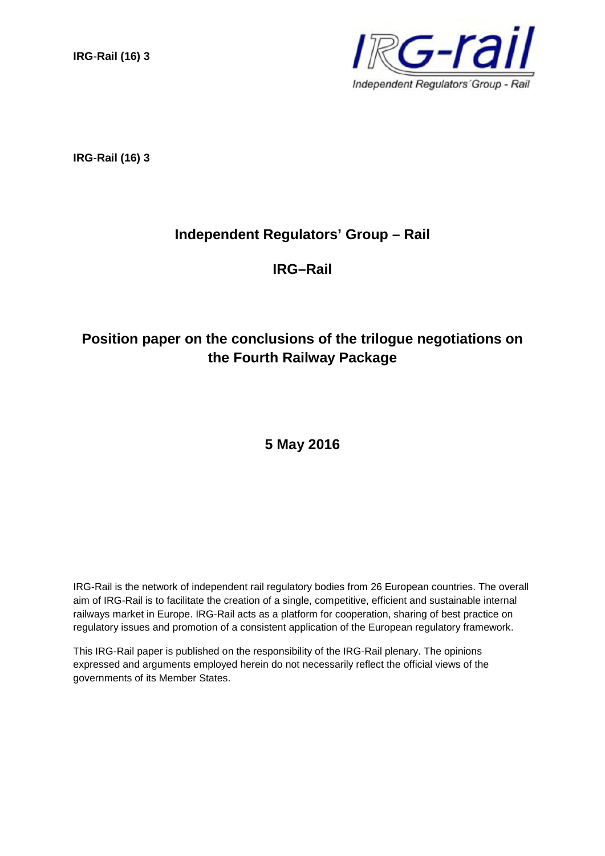**IRG**-**Rail (16) 3**



**IRG**-**Rail (16) 3**

# **Independent Regulators' Group – Rail**

**IRG–Rail**

# **Position paper on the conclusions of the trilogue negotiations on the Fourth Railway Package**

**5 May 2016**

IRG-Rail is the network of independent rail regulatory bodies from 26 European countries. The overall aim of IRG-Rail is to facilitate the creation of a single, competitive, efficient and sustainable internal railways market in Europe. IRG-Rail acts as a platform for cooperation, sharing of best practice on regulatory issues and promotion of a consistent application of the European regulatory framework.

This IRG-Rail paper is published on the responsibility of the IRG-Rail plenary. The opinions expressed and arguments employed herein do not necessarily reflect the official views of the governments of its Member States.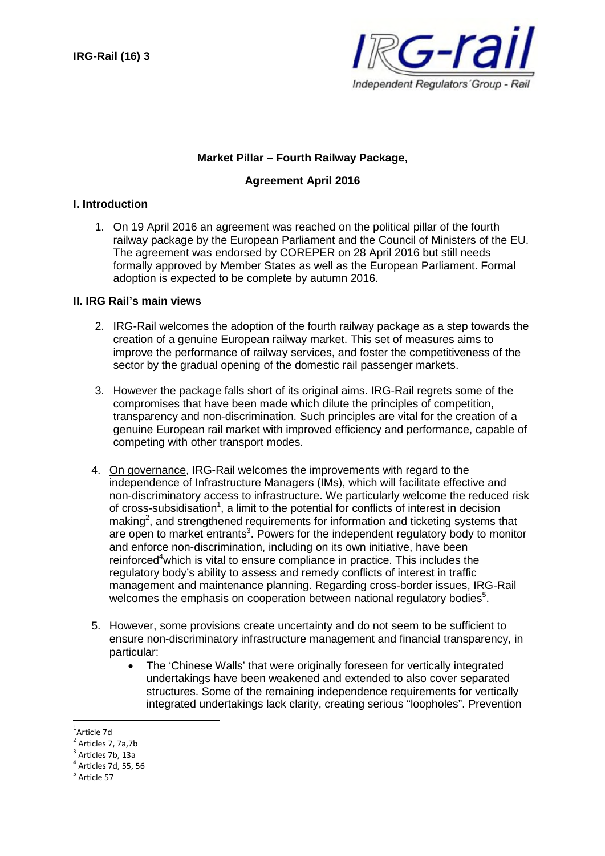

### **Market Pillar – Fourth Railway Package,**

#### **Agreement April 2016**

#### **I. Introduction**

1. On 19 April 2016 an agreement was reached on the political pillar of the fourth railway package by the European Parliament and the Council of Ministers of the EU. The agreement was endorsed by COREPER on 28 April 2016 but still needs formally approved by Member States as well as the European Parliament. Formal adoption is expected to be complete by autumn 2016.

#### **II. IRG Rail's main views**

- 2. IRG-Rail welcomes the adoption of the fourth railway package as a step towards the creation of a genuine European railway market. This set of measures aims to improve the performance of railway services, and foster the competitiveness of the sector by the gradual opening of the domestic rail passenger markets.
- 3. However the package falls short of its original aims. IRG-Rail regrets some of the compromises that have been made which dilute the principles of competition, transparency and non-discrimination. Such principles are vital for the creation of a genuine European rail market with improved efficiency and performance, capable of competing with other transport modes.
- 4. On governance, IRG-Rail welcomes the improvements with regard to the independence of Infrastructure Managers (IMs), which will facilitate effective and non-discriminatory access to infrastructure. We particularly welcome the reduced risk of cross-subsidisation<sup>1</sup>, a limit to the potential for conflicts of interest in decision making<sup>2</sup>, and strengthened requirements for information and ticketing systems that are open to market entrants<sup>3</sup>. Powers for the independent regulatory body to monitor and enforce non-discrimination, including on its own initiative, have been reinforced<sup>4</sup>which is vital to ensure compliance in practice. This includes the regulatory body's ability to assess and remedy conflicts of interest in traffic management and maintenance planning. Regarding cross-border issues, IRG-Rail welcomes the emphasis on cooperation between national regulatory bodies $5$ .
- 5. However, some provisions create uncertainty and do not seem to be sufficient to ensure non-discriminatory infrastructure management and financial transparency, in particular:
	- The 'Chinese Walls' that were originally foreseen for vertically integrated undertakings have been weakened and extended to also cover separated structures. Some of the remaining independence requirements for vertically integrated undertakings lack clarity, creating serious "loopholes". Prevention

<sup>1</sup> Article 7d

<sup>2</sup> Articles 7, 7a,7b

<sup>3</sup> Articles 7b, 13a

<sup>4</sup> Articles 7d, 55, 56

<sup>&</sup>lt;sup>5</sup> Article 57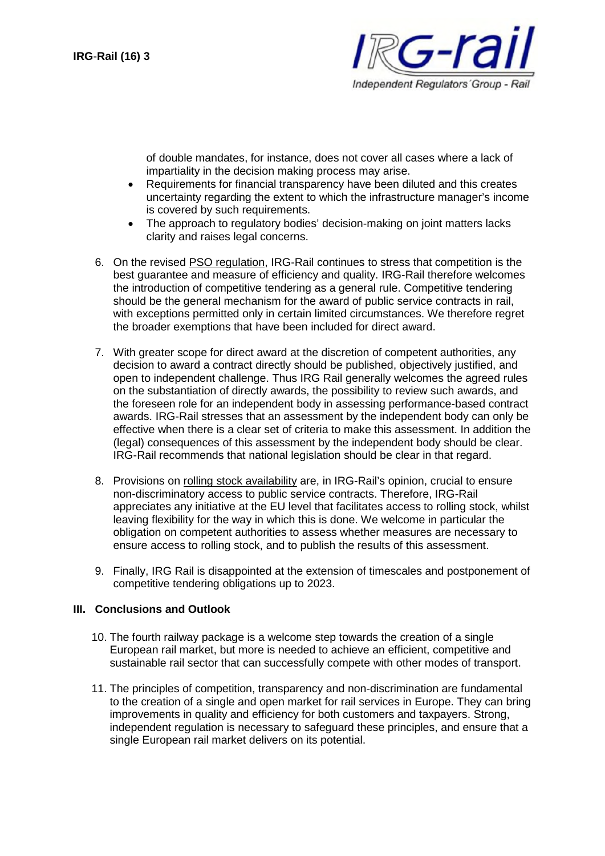

of double mandates, for instance, does not cover all cases where a lack of impartiality in the decision making process may arise.

- Requirements for financial transparency have been diluted and this creates uncertainty regarding the extent to which the infrastructure manager's income is covered by such requirements.
- The approach to regulatory bodies' decision-making on joint matters lacks clarity and raises legal concerns.
- 6. On the revised PSO regulation, IRG-Rail continues to stress that competition is the best guarantee and measure of efficiency and quality. IRG-Rail therefore welcomes the introduction of competitive tendering as a general rule. Competitive tendering should be the general mechanism for the award of public service contracts in rail, with exceptions permitted only in certain limited circumstances. We therefore regret the broader exemptions that have been included for direct award.
- 7. With greater scope for direct award at the discretion of competent authorities, any decision to award a contract directly should be published, objectively justified, and open to independent challenge. Thus IRG Rail generally welcomes the agreed rules on the substantiation of directly awards, the possibility to review such awards, and the foreseen role for an independent body in assessing performance-based contract awards. IRG-Rail stresses that an assessment by the independent body can only be effective when there is a clear set of criteria to make this assessment. In addition the (legal) consequences of this assessment by the independent body should be clear. IRG-Rail recommends that national legislation should be clear in that regard.
- 8. Provisions on rolling stock availability are, in IRG-Rail's opinion, crucial to ensure non-discriminatory access to public service contracts. Therefore, IRG-Rail appreciates any initiative at the EU level that facilitates access to rolling stock, whilst leaving flexibility for the way in which this is done. We welcome in particular the obligation on competent authorities to assess whether measures are necessary to ensure access to rolling stock, and to publish the results of this assessment.
- 9. Finally, IRG Rail is disappointed at the extension of timescales and postponement of competitive tendering obligations up to 2023.

## **III. Conclusions and Outlook**

- 10. The fourth railway package is a welcome step towards the creation of a single European rail market, but more is needed to achieve an efficient, competitive and sustainable rail sector that can successfully compete with other modes of transport.
- 11. The principles of competition, transparency and non-discrimination are fundamental to the creation of a single and open market for rail services in Europe. They can bring improvements in quality and efficiency for both customers and taxpayers. Strong, independent regulation is necessary to safeguard these principles, and ensure that a single European rail market delivers on its potential.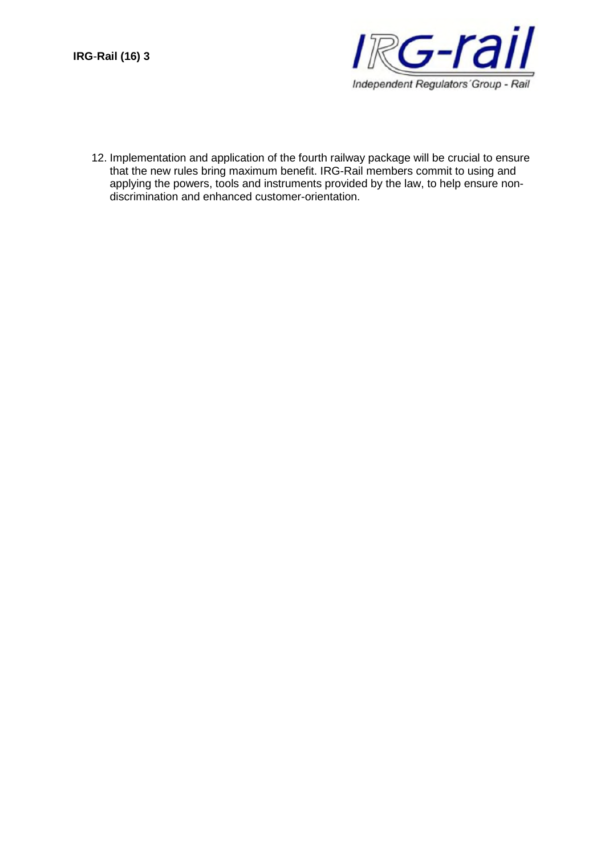

12. Implementation and application of the fourth railway package will be crucial to ensure that the new rules bring maximum benefit. IRG-Rail members commit to using and applying the powers, tools and instruments provided by the law, to help ensure nondiscrimination and enhanced customer-orientation.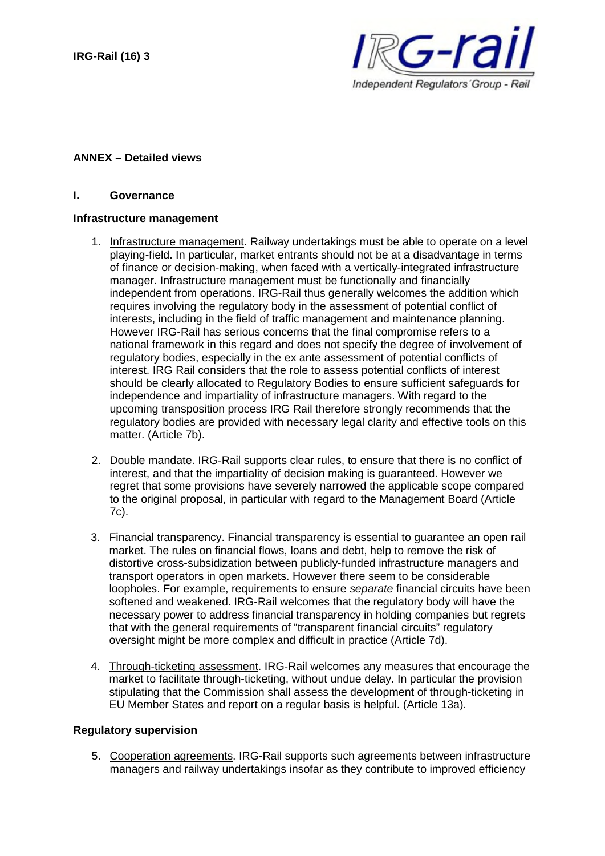

#### **ANNEX – Detailed views**

### **I. Governance**

#### **Infrastructure management**

- 1. Infrastructure management. Railway undertakings must be able to operate on a level playing-field. In particular, market entrants should not be at a disadvantage in terms of finance or decision-making, when faced with a vertically-integrated infrastructure manager. Infrastructure management must be functionally and financially independent from operations. IRG-Rail thus generally welcomes the addition which requires involving the regulatory body in the assessment of potential conflict of interests, including in the field of traffic management and maintenance planning. However IRG-Rail has serious concerns that the final compromise refers to a national framework in this regard and does not specify the degree of involvement of regulatory bodies, especially in the ex ante assessment of potential conflicts of interest. IRG Rail considers that the role to assess potential conflicts of interest should be clearly allocated to Regulatory Bodies to ensure sufficient safeguards for independence and impartiality of infrastructure managers. With regard to the upcoming transposition process IRG Rail therefore strongly recommends that the regulatory bodies are provided with necessary legal clarity and effective tools on this matter. (Article 7b).
- 2. Double mandate. IRG-Rail supports clear rules, to ensure that there is no conflict of interest, and that the impartiality of decision making is guaranteed. However we regret that some provisions have severely narrowed the applicable scope compared to the original proposal, in particular with regard to the Management Board (Article 7c).
- 3. Financial transparency. Financial transparency is essential to guarantee an open rail market. The rules on financial flows, loans and debt, help to remove the risk of distortive cross-subsidization between publicly-funded infrastructure managers and transport operators in open markets. However there seem to be considerable loopholes. For example, requirements to ensure *separate* financial circuits have been softened and weakened. IRG-Rail welcomes that the regulatory body will have the necessary power to address financial transparency in holding companies but regrets that with the general requirements of "transparent financial circuits" regulatory oversight might be more complex and difficult in practice (Article 7d).
- 4. Through-ticketing assessment. IRG-Rail welcomes any measures that encourage the market to facilitate through-ticketing, without undue delay. In particular the provision stipulating that the Commission shall assess the development of through-ticketing in EU Member States and report on a regular basis is helpful. (Article 13a).

#### **Regulatory supervision**

5. Cooperation agreements. IRG-Rail supports such agreements between infrastructure managers and railway undertakings insofar as they contribute to improved efficiency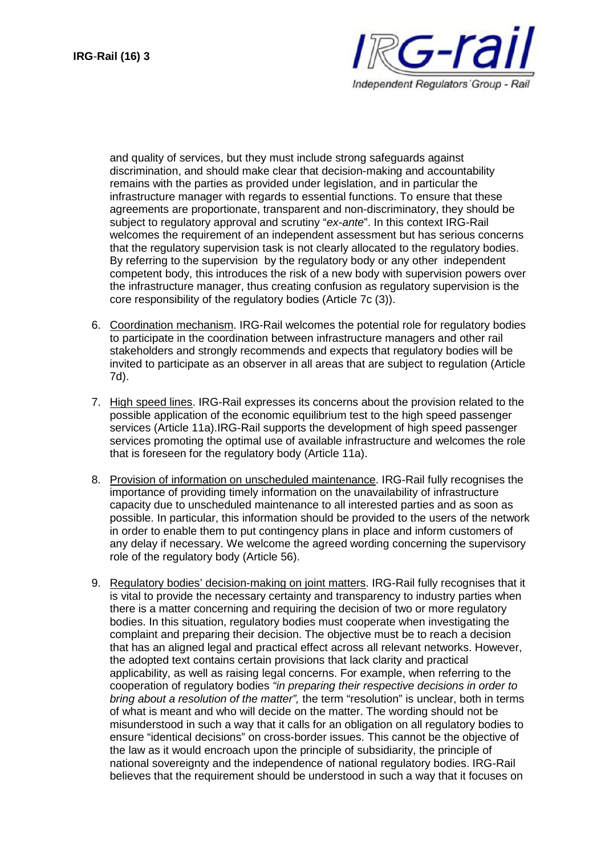

and quality of services, but they must include strong safeguards against discrimination, and should make clear that decision-making and accountability remains with the parties as provided under legislation, and in particular the infrastructure manager with regards to essential functions. To ensure that these agreements are proportionate, transparent and non-discriminatory, they should be subject to regulatory approval and scrutiny "*ex-ante*". In this context IRG-Rail welcomes the requirement of an independent assessment but has serious concerns that the regulatory supervision task is not clearly allocated to the regulatory bodies. By referring to the supervision by the regulatory body or any other independent competent body, this introduces the risk of a new body with supervision powers over the infrastructure manager, thus creating confusion as regulatory supervision is the core responsibility of the regulatory bodies (Article 7c (3)).

- 6. Coordination mechanism. IRG-Rail welcomes the potential role for regulatory bodies to participate in the coordination between infrastructure managers and other rail stakeholders and strongly recommends and expects that regulatory bodies will be invited to participate as an observer in all areas that are subject to regulation (Article 7d).
- 7. High speed lines. IRG-Rail expresses its concerns about the provision related to the possible application of the economic equilibrium test to the high speed passenger services (Article 11a).IRG-Rail supports the development of high speed passenger services promoting the optimal use of available infrastructure and welcomes the role that is foreseen for the regulatory body (Article 11a).
- 8. Provision of information on unscheduled maintenance. IRG-Rail fully recognises the importance of providing timely information on the unavailability of infrastructure capacity due to unscheduled maintenance to all interested parties and as soon as possible. In particular, this information should be provided to the users of the network in order to enable them to put contingency plans in place and inform customers of any delay if necessary. We welcome the agreed wording concerning the supervisory role of the regulatory body (Article 56).
- 9. Regulatory bodies' decision-making on joint matters. IRG-Rail fully recognises that it is vital to provide the necessary certainty and transparency to industry parties when there is a matter concerning and requiring the decision of two or more regulatory bodies. In this situation, regulatory bodies must cooperate when investigating the complaint and preparing their decision. The objective must be to reach a decision that has an aligned legal and practical effect across all relevant networks. However, the adopted text contains certain provisions that lack clarity and practical applicability, as well as raising legal concerns. For example, when referring to the cooperation of regulatory bodies *"in preparing their respective decisions in order to bring about a resolution of the matter",* the term "resolution" is unclear, both in terms of what is meant and who will decide on the matter. The wording should not be misunderstood in such a way that it calls for an obligation on all regulatory bodies to ensure "identical decisions" on cross-border issues. This cannot be the objective of the law as it would encroach upon the principle of subsidiarity, the principle of national sovereignty and the independence of national regulatory bodies. IRG-Rail believes that the requirement should be understood in such a way that it focuses on